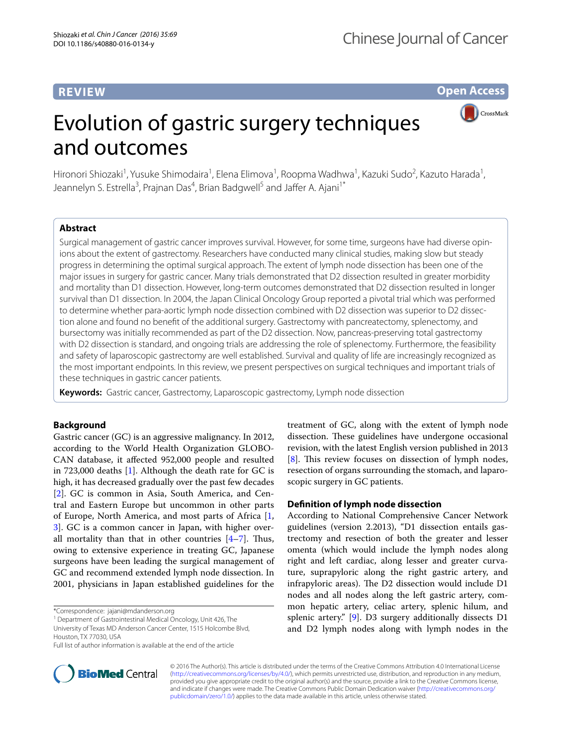**Open Access**

CrossMark

# Evolution of gastric surgery techniques and outcomes

Hironori Shiozaki<sup>1</sup>, Yusuke Shimodaira<sup>1</sup>, Elena Elimova<sup>1</sup>, Roopma Wadhwa<sup>1</sup>, Kazuki Sudo<sup>2</sup>, Kazuto Harada<sup>1</sup>, Jeannelyn S. Estrella<sup>3</sup>, Prajnan Das<sup>4</sup>, Brian Badgwell<sup>5</sup> and Jaffer A. Ajani<sup>1\*</sup>

# **Abstract**

Surgical management of gastric cancer improves survival. However, for some time, surgeons have had diverse opinions about the extent of gastrectomy. Researchers have conducted many clinical studies, making slow but steady progress in determining the optimal surgical approach. The extent of lymph node dissection has been one of the major issues in surgery for gastric cancer. Many trials demonstrated that D2 dissection resulted in greater morbidity and mortality than D1 dissection. However, long-term outcomes demonstrated that D2 dissection resulted in longer survival than D1 dissection. In 2004, the Japan Clinical Oncology Group reported a pivotal trial which was performed to determine whether para-aortic lymph node dissection combined with D2 dissection was superior to D2 dissection alone and found no benefit of the additional surgery. Gastrectomy with pancreatectomy, splenectomy, and bursectomy was initially recommended as part of the D2 dissection. Now, pancreas-preserving total gastrectomy with D2 dissection is standard, and ongoing trials are addressing the role of splenectomy. Furthermore, the feasibility and safety of laparoscopic gastrectomy are well established. Survival and quality of life are increasingly recognized as the most important endpoints. In this review, we present perspectives on surgical techniques and important trials of these techniques in gastric cancer patients.

**Keywords:** Gastric cancer, Gastrectomy, Laparoscopic gastrectomy, Lymph node dissection

# **Background**

Gastric cancer (GC) is an aggressive malignancy. In 2012, according to the World Health Organization GLOBO-CAN database, it affected 952,000 people and resulted in 723,000 deaths [[1\]](#page-4-0). Although the death rate for GC is high, it has decreased gradually over the past few decades [[2\]](#page-4-1). GC is common in Asia, South America, and Central and Eastern Europe but uncommon in other parts of Europe, North America, and most parts of Africa [\[1](#page-4-0), [3\]](#page-4-2). GC is a common cancer in Japan, with higher overall mortality than that in other countries  $[4-7]$  $[4-7]$ . Thus, owing to extensive experience in treating GC, Japanese surgeons have been leading the surgical management of GC and recommend extended lymph node dissection. In 2001, physicians in Japan established guidelines for the

\*Correspondence: jajani@mdanderson.org

<sup>1</sup> Department of Gastrointestinal Medical Oncology, Unit 426, The

University of Texas MD Anderson Cancer Center, 1515 Holcombe Blvd, Houston, TX 77030, USA

Full list of author information is available at the end of the article



treatment of GC, along with the extent of lymph node dissection. These guidelines have undergone occasional revision, with the latest English version published in 2013 [[8\]](#page-5-1). This review focuses on dissection of lymph nodes, resection of organs surrounding the stomach, and laparoscopic surgery in GC patients.

# **Definition of lymph node dissection**

According to National Comprehensive Cancer Network guidelines (version 2.2013), "D1 dissection entails gastrectomy and resection of both the greater and lesser omenta (which would include the lymph nodes along right and left cardiac, along lesser and greater curvature, suprapyloric along the right gastric artery, and infrapyloric areas). The D2 dissection would include D1 nodes and all nodes along the left gastric artery, common hepatic artery, celiac artery, splenic hilum, and splenic artery." [\[9](#page-5-2)]. D3 surgery additionally dissects D1 and D2 lymph nodes along with lymph nodes in the

© 2016 The Author(s). This article is distributed under the terms of the Creative Commons Attribution 4.0 International License [\(http://creativecommons.org/licenses/by/4.0/\)](http://creativecommons.org/licenses/by/4.0/), which permits unrestricted use, distribution, and reproduction in any medium, provided you give appropriate credit to the original author(s) and the source, provide a link to the Creative Commons license, and indicate if changes were made. The Creative Commons Public Domain Dedication waiver ([http://creativecommons.org/](http://creativecommons.org/publicdomain/zero/1.0/) [publicdomain/zero/1.0/](http://creativecommons.org/publicdomain/zero/1.0/)) applies to the data made available in this article, unless otherwise stated.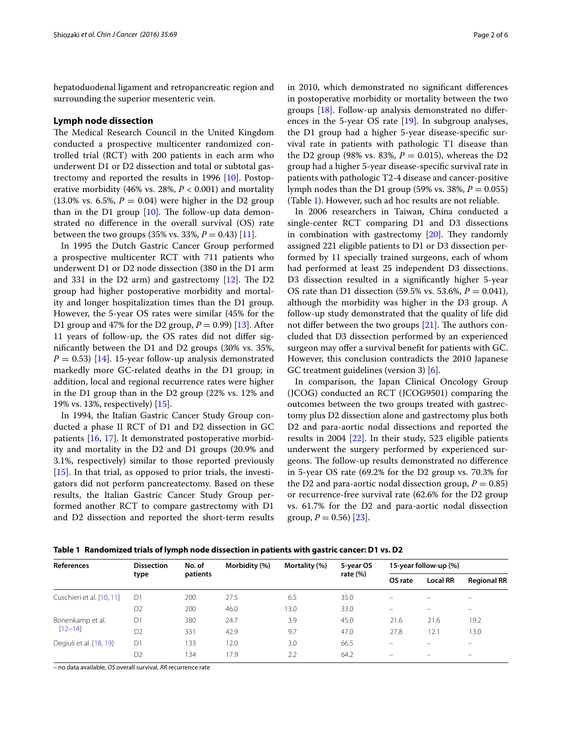hepatoduodenal ligament and retropancreatic region and surrounding the superior mesenteric vein.

## **Lymph node dissection**

The Medical Research Council in the United Kingdom conducted a prospective multicenter randomized controlled trial (RCT) with 200 patients in each arm who underwent D1 or D2 dissection and total or subtotal gastrectomy and reported the results in 1996 [\[10](#page-5-3)]. Postoperative morbidity (46% vs. 28%, *P* < 0.001) and mortality  $(13.0\% \text{ vs. } 6.5\%, P = 0.04)$  were higher in the D2 group than in the D1 group  $[10]$ . The follow-up data demonstrated no difference in the overall survival (OS) rate between the two groups  $(35\% \text{ vs. } 33\%, P = 0.43)$  [[11\]](#page-5-4).

In 1995 the Dutch Gastric Cancer Group performed a prospective multicenter RCT with 711 patients who underwent D1 or D2 node dissection (380 in the D1 arm and 331 in the D2 arm) and gastrectomy [[12\]](#page-5-5). The D2 group had higher postoperative morbidity and mortality and longer hospitalization times than the D1 group. However, the 5-year OS rates were similar (45% for the D1 group and 47% for the D2 group,  $P = 0.99$  [\[13](#page-5-6)]. After 11 years of follow-up, the OS rates did not differ significantly between the D1 and D2 groups (30% vs. 35%,  $P = 0.53$ ) [\[14\]](#page-5-7). 15-year follow-up analysis demonstrated markedly more GC-related deaths in the D1 group; in addition, local and regional recurrence rates were higher in the D1 group than in the D2 group (22% vs. 12% and 19% vs. 13%, respectively) [\[15\]](#page-5-8).

In 1994, the Italian Gastric Cancer Study Group conducted a phase II RCT of D1 and D2 dissection in GC patients [\[16](#page-5-9), [17](#page-5-10)]. It demonstrated postoperative morbidity and mortality in the D2 and D1 groups (20.9% and 3.1%, respectively) similar to those reported previously [[15\]](#page-5-8). In that trial, as opposed to prior trials, the investigators did not perform pancreatectomy. Based on these results, the Italian Gastric Cancer Study Group performed another RCT to compare gastrectomy with D1 and D2 dissection and reported the short-term results in 2010, which demonstrated no significant differences in postoperative morbidity or mortality between the two groups [[18](#page-5-11)]. Follow-up analysis demonstrated no differences in the 5-year OS rate [[19](#page-5-12)]. In subgroup analyses, the D1 group had a higher 5-year disease-specific survival rate in patients with pathologic T1 disease than the D2 group (98% vs. 83%,  $P = 0.015$ ), whereas the D2 group had a higher 5-year disease-specific survival rate in patients with pathologic T2-4 disease and cancer-positive lymph nodes than the D1 group (59% vs. 38%, *P* = 0.055) (Table [1\)](#page-1-0). However, such ad hoc results are not reliable.

In 2006 researchers in Taiwan, China conducted a single-center RCT comparing D1 and D3 dissections in combination with gastrectomy [[20](#page-5-13)]. They randomly assigned 221 eligible patients to D1 or D3 dissection performed by 11 specially trained surgeons, each of whom had performed at least 25 independent D3 dissections. D3 dissection resulted in a significantly higher 5-year OS rate than D1 dissection (59.5% vs. 53.6%, *P* = 0.041), although the morbidity was higher in the D3 group. A follow-up study demonstrated that the quality of life did not differ between the two groups [\[21](#page-5-14)]. The authors concluded that D3 dissection performed by an experienced surgeon may offer a survival benefit for patients with GC. However, this conclusion contradicts the 2010 Japanese GC treatment guidelines (version 3) [[6](#page-5-15)].

In comparison, the Japan Clinical Oncology Group (JCOG) conducted an RCT (JCOG9501) comparing the outcomes between the two groups treated with gastrectomy plus D2 dissection alone and gastrectomy plus both D2 and para-aortic nodal dissections and reported the results in 2004 [\[22](#page-5-16)]. In their study, 523 eligible patients underwent the surgery performed by experienced surgeons. The follow-up results demonstrated no difference in 5-year OS rate (69.2% for the D2 group vs. 70.3% for the D2 and para-aortic nodal dissection group,  $P = 0.85$ ) or recurrence-free survival rate (62.6% for the D2 group vs. 61.7% for the D2 and para-aortic nodal dissection group,  $P = 0.56$  [[23\]](#page-5-17).

| <b>References</b>         | <b>Dissection</b> | No. of   | Morbidity (%) | Mortality (%) | 5-year OS   | 15-year follow-up (%)    |                 |                          |
|---------------------------|-------------------|----------|---------------|---------------|-------------|--------------------------|-----------------|--------------------------|
|                           | type              | patients |               |               | rate $(\%)$ | OS rate                  | <b>Local RR</b> | <b>Regional RR</b>       |
| Cuschieri et al. [10, 11] | D1                | 200      | 27.5          | 6.5           | 35.0        | $\overline{\phantom{0}}$ |                 | $\overline{\phantom{0}}$ |
|                           | D <sub>2</sub>    | 200      | 46.0          | 13.0          | 33.0        |                          |                 | -                        |
| Bonenkamp et al.          | D1                | 380      | 24.7          | 3.9           | 45.0        | 21.6                     | 21.6            | 19.2                     |
| $[12 - 14]$               | D <sub>2</sub>    | 331      | 42.9          | 9.7           | 47.0        | 27.8                     | 12.1            | 13.0                     |
| Degiuli et al. [18, 19]   | D1                | 133      | 12.0          | 3.0           | 66.5        |                          |                 | —                        |
|                           | D <sub>2</sub>    | 134      | 17.9          | 2.2           | 64.2        | -                        |                 | $\overline{\phantom{0}}$ |

<span id="page-1-0"></span>**Table 1 Randomized trials of lymph node dissection in patients with gastric cancer: D1 vs. D2**

– no data available, *OS* overall survival, *RR* recurrence rate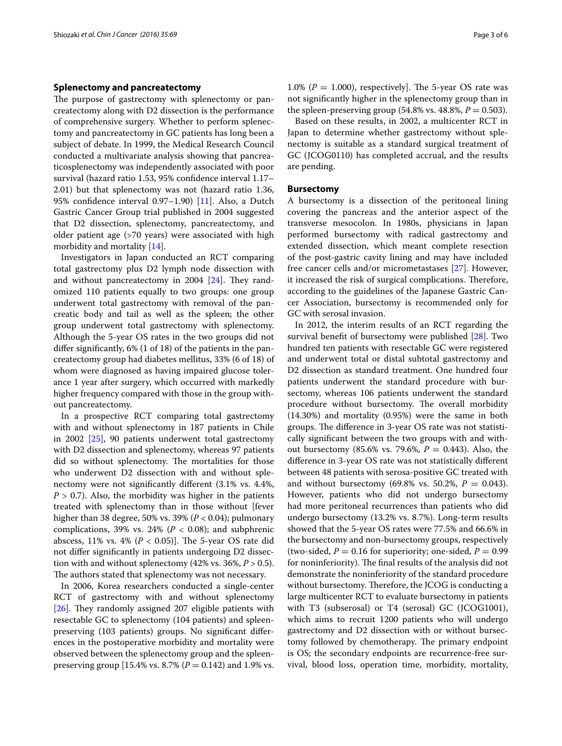## **Splenectomy and pancreatectomy**

The purpose of gastrectomy with splenectomy or pancreatectomy along with D2 dissection is the performance of comprehensive surgery. Whether to perform splenectomy and pancreatectomy in GC patients has long been a subject of debate. In 1999, the Medical Research Council conducted a multivariate analysis showing that pancreaticosplenectomy was independently associated with poor survival (hazard ratio 1.53, 95% confidence interval 1.17– 2.01) but that splenectomy was not (hazard ratio 1.36, 95% confidence interval 0.97–1.90) [[11\]](#page-5-4). Also, a Dutch Gastric Cancer Group trial published in 2004 suggested that D2 dissection, splenectomy, pancreatectomy, and older patient age (>70 years) were associated with high morbidity and mortality [[14](#page-5-7)].

Investigators in Japan conducted an RCT comparing total gastrectomy plus D2 lymph node dissection with and without pancreatectomy in 2004 [\[24](#page-5-18)]. They randomized 110 patients equally to two groups: one group underwent total gastrectomy with removal of the pancreatic body and tail as well as the spleen; the other group underwent total gastrectomy with splenectomy. Although the 5-year OS rates in the two groups did not differ significantly, 6% (1 of 18) of the patients in the pancreatectomy group had diabetes mellitus, 33% (6 of 18) of whom were diagnosed as having impaired glucose tolerance 1 year after surgery, which occurred with markedly higher frequency compared with those in the group without pancreatectomy.

In a prospective RCT comparing total gastrectomy with and without splenectomy in 187 patients in Chile in 2002 [[25\]](#page-5-19), 90 patients underwent total gastrectomy with D2 dissection and splenectomy, whereas 97 patients did so without splenectomy. The mortalities for those who underwent D2 dissection with and without splenectomy were not significantly different (3.1% vs. 4.4%,  $P > 0.7$ ). Also, the morbidity was higher in the patients treated with splenectomy than in those without [fever higher than 38 degree, 50% vs. 39% (*P* < 0.04); pulmonary complications, 39% vs. 24% ( $P < 0.08$ ); and subphrenic abscess, 11% vs. 4% (*P* < 0.05)]. The 5-year OS rate did not differ significantly in patients undergoing D2 dissection with and without splenectomy  $(42\% \text{ vs. } 36\%, P > 0.5)$ . The authors stated that splenectomy was not necessary.

In 2006, Korea researchers conducted a single-center RCT of gastrectomy with and without splenectomy [[26\]](#page-5-20). They randomly assigned 207 eligible patients with resectable GC to splenectomy (104 patients) and spleenpreserving (103 patients) groups. No significant differences in the postoperative morbidity and mortality were observed between the splenectomy group and the spleenpreserving group [15.4% vs. 8.7% (*P* = 0.142) and 1.9% vs. 1.0%  $(P = 1.000)$ , respectively]. The 5-year OS rate was not significantly higher in the splenectomy group than in the spleen-preserving group  $(54.8\% \text{ vs. } 48.8\%, P = 0.503)$ .

Based on these results, in 2002, a multicenter RCT in Japan to determine whether gastrectomy without splenectomy is suitable as a standard surgical treatment of GC (JCOG0110) has completed accrual, and the results are pending.

## **Bursectomy**

A bursectomy is a dissection of the peritoneal lining covering the pancreas and the anterior aspect of the transverse mesocolon. In 1980s, physicians in Japan performed bursectomy with radical gastrectomy and extended dissection, which meant complete resection of the post-gastric cavity lining and may have included free cancer cells and/or micrometastases [\[27](#page-5-21)]. However, it increased the risk of surgical complications. Therefore, according to the guidelines of the Japanese Gastric Cancer Association, bursectomy is recommended only for GC with serosal invasion.

In 2012, the interim results of an RCT regarding the survival benefit of bursectomy were published [\[28](#page-5-22)]. Two hundred ten patients with resectable GC were registered and underwent total or distal subtotal gastrectomy and D2 dissection as standard treatment. One hundred four patients underwent the standard procedure with bursectomy, whereas 106 patients underwent the standard procedure without bursectomy. The overall morbidity (14.30%) and mortality (0.95%) were the same in both groups. The difference in 3-year OS rate was not statistically significant between the two groups with and without bursectomy (85.6% vs. 79.6%,  $P = 0.443$ ). Also, the difference in 3-year OS rate was not statistically different between 48 patients with serosa-positive GC treated with and without bursectomy (69.8% vs. 50.2%,  $P = 0.043$ ). However, patients who did not undergo bursectomy had more peritoneal recurrences than patients who did undergo bursectomy (13.2% vs. 8.7%). Long-term results showed that the 5-year OS rates were 77.5% and 66.6% in the bursectomy and non-bursectomy groups, respectively (two-sided,  $P = 0.16$  for superiority; one-sided,  $P = 0.99$ for noninferiority). The final results of the analysis did not demonstrate the noninferiority of the standard procedure without bursectomy. Therefore, the JCOG is conducting a large multicenter RCT to evaluate bursectomy in patients with T3 (subserosal) or T4 (serosal) GC (JCOG1001), which aims to recruit 1200 patients who will undergo gastrectomy and D2 dissection with or without bursectomy followed by chemotherapy. The primary endpoint is OS; the secondary endpoints are recurrence-free survival, blood loss, operation time, morbidity, mortality,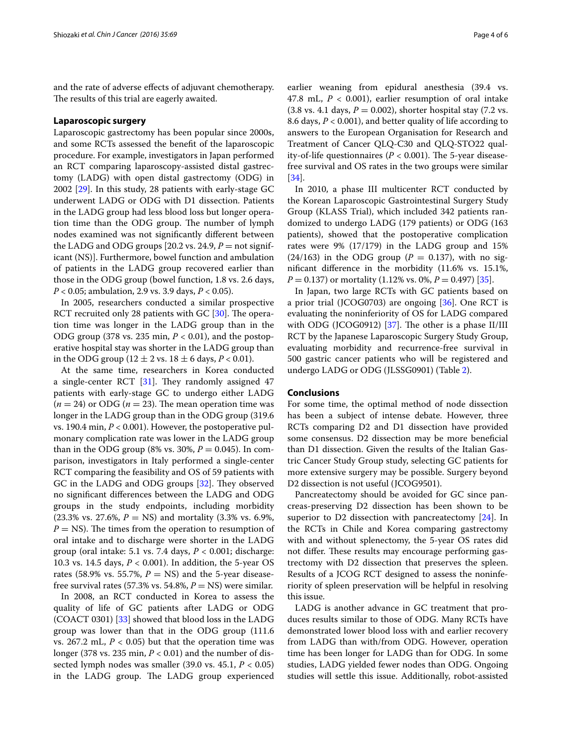and the rate of adverse effects of adjuvant chemotherapy. The results of this trial are eagerly awaited.

## **Laparoscopic surgery**

Laparoscopic gastrectomy has been popular since 2000s, and some RCTs assessed the benefit of the laparoscopic procedure. For example, investigators in Japan performed an RCT comparing laparoscopy-assisted distal gastrectomy (LADG) with open distal gastrectomy (ODG) in 2002 [[29\]](#page-5-23). In this study, 28 patients with early-stage GC underwent LADG or ODG with D1 dissection. Patients in the LADG group had less blood loss but longer operation time than the ODG group. The number of lymph nodes examined was not significantly different between the LADG and ODG groups [20.2 vs. 24.9,  $P =$  not significant (NS)]. Furthermore, bowel function and ambulation of patients in the LADG group recovered earlier than those in the ODG group (bowel function, 1.8 vs. 2.6 days, *P* < 0.05; ambulation, 2.9 vs. 3.9 days, *P* < 0.05).

In 2005, researchers conducted a similar prospective RCT recruited only 28 patients with GC [[30\]](#page-5-24). The operation time was longer in the LADG group than in the ODG group (378 vs. 235 min, *P* < 0.01), and the postoperative hospital stay was shorter in the LADG group than in the ODG group  $(12 \pm 2 \text{ vs. } 18 \pm 6 \text{ days}, P < 0.01)$ .

At the same time, researchers in Korea conducted a single-center RCT  $[31]$  $[31]$ . They randomly assigned 47 patients with early-stage GC to undergo either LADG  $(n = 24)$  or ODG  $(n = 23)$ . The mean operation time was longer in the LADG group than in the ODG group (319.6 vs. 190.4 min,  $P < 0.001$ ). However, the postoperative pulmonary complication rate was lower in the LADG group than in the ODG group (8% vs. 30%,  $P = 0.045$ ). In comparison, investigators in Italy performed a single-center RCT comparing the feasibility and OS of 59 patients with GC in the LADG and ODG groups [\[32](#page-5-26)]. They observed no significant differences between the LADG and ODG groups in the study endpoints, including morbidity  $(23.3\% \text{ vs. } 27.6\%, P = \text{NS})$  and mortality  $(3.3\% \text{ vs. } 6.9\%,$  $P = NS$ ). The times from the operation to resumption of oral intake and to discharge were shorter in the LADG group (oral intake: 5.1 vs. 7.4 days,  $P < 0.001$ ; discharge: 10.3 vs. 14.5 days, *P* < 0.001). In addition, the 5-year OS rates (58.9% vs. 55.7%,  $P = NS$ ) and the 5-year diseasefree survival rates  $(57.3\% \text{ vs. } 54.8\%, P = \text{NS})$  were similar.

In 2008, an RCT conducted in Korea to assess the quality of life of GC patients after LADG or ODG (COACT 0301) [[33](#page-5-27)] showed that blood loss in the LADG group was lower than that in the ODG group (111.6 vs. 267.2 mL,  $P < 0.05$ ) but that the operation time was longer (378 vs. 235 min, *P* < 0.01) and the number of dissected lymph nodes was smaller (39.0 vs. 45.1, *P* < 0.05) in the LADG group. The LADG group experienced earlier weaning from epidural anesthesia (39.4 vs. 47.8 mL,  $P < 0.001$ ), earlier resumption of oral intake  $(3.8 \text{ vs. } 4.1 \text{ days}, P = 0.002)$ , shorter hospital stay  $(7.2 \text{ vs. } 4.1 \text{ days})$ 8.6 days, *P* < 0.001), and better quality of life according to answers to the European Organisation for Research and Treatment of Cancer QLQ-C30 and QLQ-STO22 quality-of-life questionnaires (*P* < 0.001). The 5-year diseasefree survival and OS rates in the two groups were similar [[34\]](#page-5-28).

In 2010, a phase III multicenter RCT conducted by the Korean Laparoscopic Gastrointestinal Surgery Study Group (KLASS Trial), which included 342 patients randomized to undergo LADG (179 patients) or ODG (163 patients), showed that the postoperative complication rates were 9% (17/179) in the LADG group and 15%  $(24/163)$  in the ODG group ( $P = 0.137$ ), with no significant difference in the morbidity (11.6% vs. 15.1%,  $P = 0.137$  or mortality (1.12% vs. 0%,  $P = 0.497$ ) [[35](#page-5-29)].

In Japan, two large RCTs with GC patients based on a prior trial (JCOG0703) are ongoing [[36\]](#page-5-30). One RCT is evaluating the noninferiority of OS for LADG compared with ODG (JCOG0912) [[37\]](#page-5-31). The other is a phase II/III RCT by the Japanese Laparoscopic Surgery Study Group, evaluating morbidity and recurrence-free survival in 500 gastric cancer patients who will be registered and undergo LADG or ODG (JLSSG0901) (Table [2\)](#page-4-4).

## **Conclusions**

For some time, the optimal method of node dissection has been a subject of intense debate. However, three RCTs comparing D2 and D1 dissection have provided some consensus. D2 dissection may be more beneficial than D1 dissection. Given the results of the Italian Gastric Cancer Study Group study, selecting GC patients for more extensive surgery may be possible. Surgery beyond D2 dissection is not useful (JCOG9501).

Pancreatectomy should be avoided for GC since pancreas-preserving D2 dissection has been shown to be superior to D2 dissection with pancreatectomy [[24\]](#page-5-18). In the RCTs in Chile and Korea comparing gastrectomy with and without splenectomy, the 5-year OS rates did not differ. These results may encourage performing gastrectomy with D2 dissection that preserves the spleen. Results of a JCOG RCT designed to assess the noninferiority of spleen preservation will be helpful in resolving this issue.

LADG is another advance in GC treatment that produces results similar to those of ODG. Many RCTs have demonstrated lower blood loss with and earlier recovery from LADG than with/from ODG. However, operation time has been longer for LADG than for ODG. In some studies, LADG yielded fewer nodes than ODG. Ongoing studies will settle this issue. Additionally, robot-assisted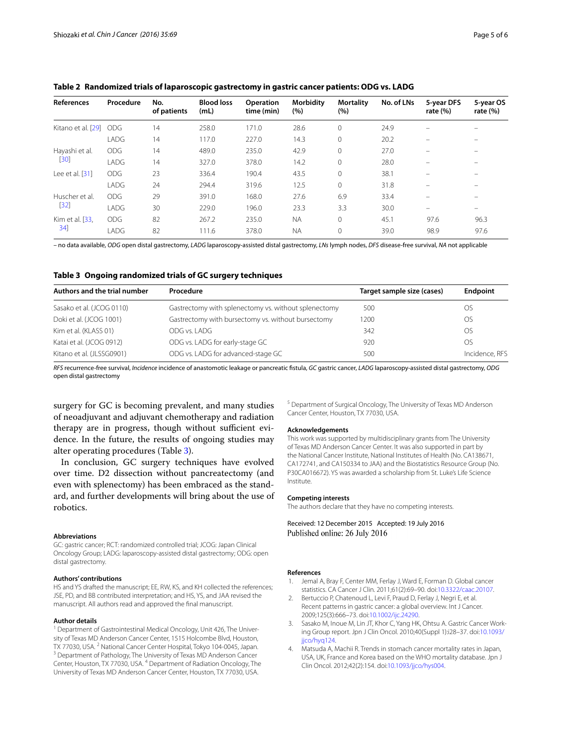| <b>References</b>        | Procedure  | No.<br>of patients | <b>Blood loss</b><br>(mL) | <b>Operation</b><br>time (min) | Morbidity<br>(%) | <b>Mortality</b><br>(%) | No. of LNs | 5-year DFS<br>rate $(%)$ | 5-year OS<br>rate $(\% )$ |
|--------------------------|------------|--------------------|---------------------------|--------------------------------|------------------|-------------------------|------------|--------------------------|---------------------------|
| Kitano et al. [29]       | <b>ODG</b> | 14                 | 258.0                     | 171.0                          | 28.6             | 0                       | 24.9       |                          |                           |
|                          | LADG       | 14                 | 117.0                     | 227.0                          | 14.3             | $\Omega$                | 20.2       |                          |                           |
| Hayashi et al.<br>$[30]$ | <b>ODG</b> | 14                 | 489.0                     | 235.0                          | 42.9             | $\Omega$                | 27.0       |                          |                           |
|                          | LADG       | 14                 | 327.0                     | 378.0                          | 14.2             | $\mathbf{0}$            | 28.0       | $\overline{\phantom{0}}$ |                           |
| Lee et al. [31]          | <b>ODG</b> | 23                 | 336.4                     | 190.4                          | 43.5             | $\Omega$                | 38.1       | -                        | -                         |
|                          | LADG       | 24                 | 294.4                     | 319.6                          | 12.5             | $\mathbf{0}$            | 31.8       |                          |                           |
| Huscher et al.<br>$[32]$ | <b>ODG</b> | 29                 | 391.0                     | 168.0                          | 27.6             | 6.9                     | 33.4       |                          |                           |
|                          | LADG       | 30                 | 229.0                     | 196.0                          | 23.3             | 3.3                     | 30.0       | $\overline{\phantom{0}}$ | -                         |
| Kim et al. [33,<br>34]   | <b>ODG</b> | 82                 | 267.2                     | 235.0                          | <b>NA</b>        | $\Omega$                | 45.1       | 97.6                     | 96.3                      |
|                          | LADG       | 82                 | 111.6                     | 378.0                          | <b>NA</b>        | 0                       | 39.0       | 98.9                     | 97.6                      |

<span id="page-4-4"></span>

– no data available, *ODG* open distal gastrectomy, *LADG* laparoscopy-assisted distal gastrectomy, *LNs* lymph nodes, *DFS* disease-free survival, *NA* not applicable

## <span id="page-4-5"></span>**Table 3 Ongoing randomized trials of GC surgery techniques**

| Authors and the trial number | Procedure                                            | Target sample size (cases) | <b>Endpoint</b> |
|------------------------------|------------------------------------------------------|----------------------------|-----------------|
| Sasako et al. (JCOG 0110)    | Gastrectomy with splenectomy vs. without splenectomy | 500                        | OS.             |
| Doki et al. (JCOG 1001)      | Gastrectomy with bursectomy vs. without bursectomy   | 1200                       | OS              |
| Kim et al. (KLASS 01)        | ODG vs. LADG                                         | 342                        | OS              |
| Katai et al. (JCOG 0912)     | ODG vs. LADG for early-stage GC                      | 920                        | OS              |
| Kitano et al. (JLSSG0901)    | ODG vs. LADG for advanced-stage GC                   | 500                        | Incidence, RFS  |

*RFS* recurrence-free survival, *Incidence* incidence of anastomotic leakage or pancreatic fistula, *GC* gastric cancer, *LADG* laparoscopy-assisted distal gastrectomy, *ODG* open distal gastrectomy

surgery for GC is becoming prevalent, and many studies of neoadjuvant and adjuvant chemotherapy and radiation therapy are in progress, though without sufficient evidence. In the future, the results of ongoing studies may alter operating procedures (Table [3\)](#page-4-5).

In conclusion, GC surgery techniques have evolved over time. D2 dissection without pancreatectomy (and even with splenectomy) has been embraced as the standard, and further developments will bring about the use of robotics.

#### **Abbreviations**

GC: gastric cancer; RCT: randomized controlled trial; JCOG: Japan Clinical Oncology Group; LADG: laparoscopy-assisted distal gastrectomy; ODG: open distal gastrectomy.

#### **Authors' contributions**

HS and YS drafted the manuscript; EE, RW, KS, and KH collected the references; JSE, PD, and BB contributed interpretation; and HS, YS, and JAA revised the manuscript. All authors read and approved the final manuscript.

### **Author details**

<sup>1</sup> Department of Gastrointestinal Medical Oncology, Unit 426, The University of Texas MD Anderson Cancer Center, 1515 Holcombe Blvd, Houston, TX 77030, USA.<sup>2</sup> National Cancer Center Hospital, Tokyo 104-0045, Japan. <sup>3</sup> Department of Pathology, The University of Texas MD Anderson Cancer Center, Houston, TX 77030, USA. 4 Department of Radiation Oncology, The University of Texas MD Anderson Cancer Center, Houston, TX 77030, USA.

<sup>5</sup> Department of Surgical Oncology, The University of Texas MD Anderson Cancer Center, Houston, TX 77030, USA.

## **Acknowledgements**

This work was supported by multidisciplinary grants from The University of Texas MD Anderson Cancer Center. It was also supported in part by the National Cancer Institute, National Institutes of Health (No. CA138671, CA172741, and CA150334 to JAA) and the Biostatistics Resource Group (No. P30CA016672). YS was awarded a scholarship from St. Luke's Life Science Institute.

#### **Competing interests**

The authors declare that they have no competing interests.

Received: 12 December 2015 Accepted: 19 July 2016 Published online: 26 July 2016

### **References**

- <span id="page-4-0"></span>Jemal A, Bray F, Center MM, Ferlay J, Ward E, Forman D. Global cancer statistics. CA Cancer J Clin. 2011;61(2):69–90. doi:[10.3322/caac.20107.](http://dx.doi.org/10.3322/caac.20107)
- <span id="page-4-1"></span>2. Bertuccio P, Chatenoud L, Levi F, Praud D, Ferlay J, Negri E, et al. Recent patterns in gastric cancer: a global overview. Int J Cancer. 2009;125(3):666–73. doi:[10.1002/ijc.24290](http://dx.doi.org/10.1002/ijc.24290).
- <span id="page-4-2"></span>3. Sasako M, Inoue M, Lin JT, Khor C, Yang HK, Ohtsu A. Gastric Cancer Working Group report. Jpn J Clin Oncol. 2010;40(Suppl 1):i28–37. doi:[10.1093/](http://dx.doi.org/10.1093/jjco/hyq124) iico/hya124.
- <span id="page-4-3"></span>4. Matsuda A, Machii R. Trends in stomach cancer mortality rates in Japan, USA, UK, France and Korea based on the WHO mortality database. Jpn J Clin Oncol. 2012;42(2):154. doi:[10.1093/jjco/hys004.](http://dx.doi.org/10.1093/jjco/hys004)